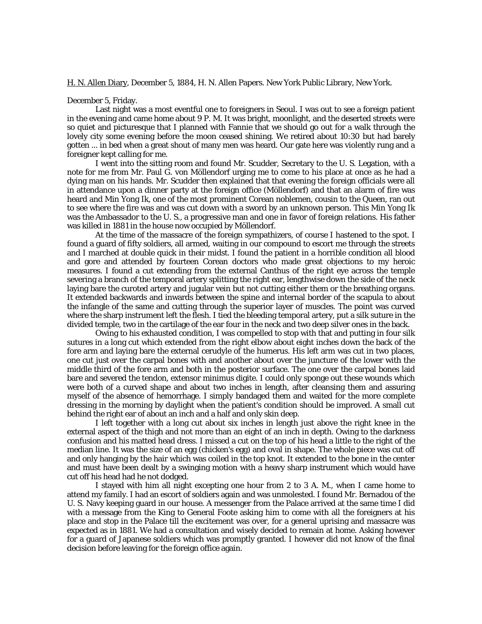## H. N. Allen Diary, December 5, 1884, H. N. Allen Papers. New York Public Library, New York.

## December 5, Friday.

Last night was a most eventful one to foreigners in Seoul. I was out to see a foreign patient in the evening and came home about 9 P. M. It was bright, moonlight, and the deserted streets were so quiet and picturesque that I planned with Fannie that we should go out for a walk through the lovely city some evening before the moon ceased shining. We retired about 10:30 but had barely gotten ... in bed when a great shout of many men was heard. Our gate here was violently rung and a foreigner kept calling for me.

I went into the sitting room and found Mr. Scudder, Secretary to the U. S. Legation, with a note for me from Mr. Paul G. von Möllendorf urging me to come to his place at once as he had a dying man on his hands. Mr. Scudder then explained that that evening the foreign officials were all in attendance upon a dinner party at the foreign office (Möllendorf) and that an alarm of fire was heard and Min Yong Ik, one of the most prominent Corean noblemen, cousin to the Queen, ran out to see where the fire was and was cut down with a sword by an unknown person. This Min Yong Ik was the Ambassador to the U. S., a progressive man and one in favor of foreign relations. His father was killed in 1881 in the house now occupied by Möllendorf.

At the time of the massacre of the foreign sympathizers, of course I hastened to the spot. I found a guard of fifty soldiers, all armed, waiting in our compound to escort me through the streets and I marched at double quick in their midst. I found the patient in a horrible condition all blood and gore and attended by fourteen Corean doctors who made great objections to my heroic measures. I found a cut extending from the external Canthus of the right eye across the temple severing a branch of the temporal artery splitting the right ear, lengthwise down the side of the neck laying bare the curoted artery and jugular vein but not cutting either them or the breathing organs. It extended backwards and inwards between the spine and internal border of the scapula to about the infangle of the same and cutting through the superior layer of muscles. The point was curved where the sharp instrument left the flesh. I tied the bleeding temporal artery, put a silk suture in the divided temple, two in the cartilage of the ear four in the neck and two deep silver ones in the back.

Owing to his exhausted condition, I was compelled to stop with that and putting in four silk sutures in a long cut which extended from the right elbow about eight inches down the back of the fore arm and laying bare the external cerudyle of the humerus. His left arm was cut in two places, one cut just over the carpal bones with and another about over the juncture of the lower with the middle third of the fore arm and both in the posterior surface. The one over the carpal bones laid bare and severed the tendon, extensor minimus digite. I could only sponge out these wounds which were both of a curved shape and about two inches in length, after cleansing them and assuring myself of the absence of hemorrhage. I simply bandaged them and waited for the more complete dressing in the morning by daylight when the patient's condition should be improved. A small cut behind the right ear of about an inch and a half and only skin deep.

I left together with a long cut about six inches in length just above the right knee in the external aspect of the thigh and not more than an eight of an inch in depth. Owing to the darkness confusion and his matted head dress. I missed a cut on the top of his head a little to the right of the median line. It was the size of an egg (chicken's egg) and oval in shape. The whole piece was cut off and only hanging by the hair which was coiled in the top knot. It extended to the bone in the center and must have been dealt by a swinging motion with a heavy sharp instrument which would have cut off his head had he not dodged.

I stayed with him all night excepting one hour from 2 to 3 A. M., when I came home to attend my family. I had an escort of soldiers again and was unmolested. I found Mr. Bernadou of the U. S. Navy keeping guard in our house. A messenger from the Palace arrived at the same time I did with a message from the King to General Foote asking him to come with all the foreigners at his place and stop in the Palace till the excitement was over, for a general uprising and massacre was expected as in 1881. We had a consultation and wisely decided to remain at home. Asking however for a guard of Japanese soldiers which was promptly granted. I however did not know of the final decision before leaving for the foreign office again.